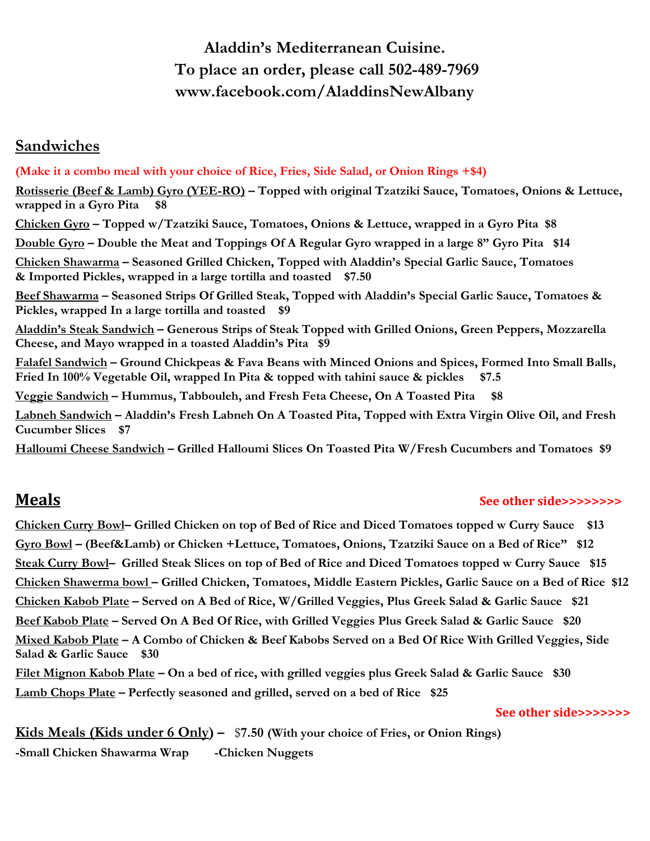# **Aladdin's Mediterranean Cuisine. To place an order, please call 502-489-7969 www.facebook.com/AladdinsNewAlbany**

## **Sandwiches**

**(Make it a combo meal with your choice of Rice, Fries, Side Salad, or Onion Rings +\$4) Rotisserie (Beef & Lamb) Gyro (YEE-RO) – Topped with original Tzatziki Sauce, Tomatoes, Onions & Lettuce, wrapped in a Gyro Pita \$8 Chicken Gyro – Topped w/Tzatziki Sauce, Tomatoes, Onions & Lettuce, wrapped in a Gyro Pita \$8** Double Gyro – Double the Meat and Toppings Of A Regular Gyro wrapped in a large 8" Gyro Pita \$14 **Chicken Shawarma – Seasoned Grilled Chicken, Topped with Aladdin's Special Garlic Sauce, Tomatoes & Imported Pickles, wrapped in a large tortilla and toasted \$7.50 Beef Shawarma – Seasoned Strips Of Grilled Steak, Topped with Aladdin's Special Garlic Sauce, Tomatoes & Pickles, wrapped In a large tortilla and toasted \$9 Aladdin's Steak Sandwich – Generous Strips of Steak Topped with Grilled Onions, Green Peppers, Mozzarella Cheese, and Mayo wrapped in a toasted Aladdin's Pita \$9 Falafel Sandwich – Ground Chickpeas & Fava Beans with Minced Onions and Spices, Formed Into Small Balls, Fried In 100% Vegetable Oil, wrapped In Pita & topped with tahini sauce & pickles \$7.5 Veggie Sandwich – Hummus, Tabbouleh, and Fresh Feta Cheese, On A Toasted Pita \$8** Labneh Sandwich - Aladdin's Fresh Labneh On A Toasted Pita, Topped with Extra Virgin Olive Oil, and Fresh **Cucumber Slices \$7**

**Halloumi Cheese Sandwich – Grilled Halloumi Slices On Toasted Pita W/Fresh Cucumbers and Tomatoes \$9**

### **Meals See other side>>>>>>>>**

Chicken Curry Bowl- Grilled Chicken on top of Bed of Rice and Diced Tomatoes topped w Curry Sauce \$13 **Gyro Bowl – (Beef&Lamb) or Chicken +Lettuce, Tomatoes, Onions, Tzatziki Sauce on a Bed of Rice" \$12** Steak Curry Bowl- Grilled Steak Slices on top of Bed of Rice and Diced Tomatoes topped w Curry Sauce \$15 Chicken Shawerma bowl - Grilled Chicken, Tomatoes, Middle Eastern Pickles, Garlic Sauce on a Bed of Rice \$12 Chicken Kabob Plate - Served on A Bed of Rice, W/Grilled Veggies, Plus Greek Salad & Garlic Sauce \$21 Beef Kabob Plate – Served On A Bed Of Rice, with Grilled Veggies Plus Greek Salad & Garlic Sauce \$20 Mixed Kabob Plate – A Combo of Chicken & Beef Kabobs Served on a Bed Of Rice With Grilled Veggies, Side **Salad & Garlic Sauce \$30** Filet Mignon Kabob Plate – On a bed of rice, with grilled veggies plus Greek Salad & Garlic Sauce \$30 **Lamb Chops Plate – Perfectly seasoned and grilled, served on a bed of Rice \$25** 

 **See other side>>>>>>>** 

**Kids Meals (Kids under 6 Only) –** \$**7.50 (With your choice of Fries, or Onion Rings) -Small Chicken Shawarma Wrap -Chicken Nuggets**